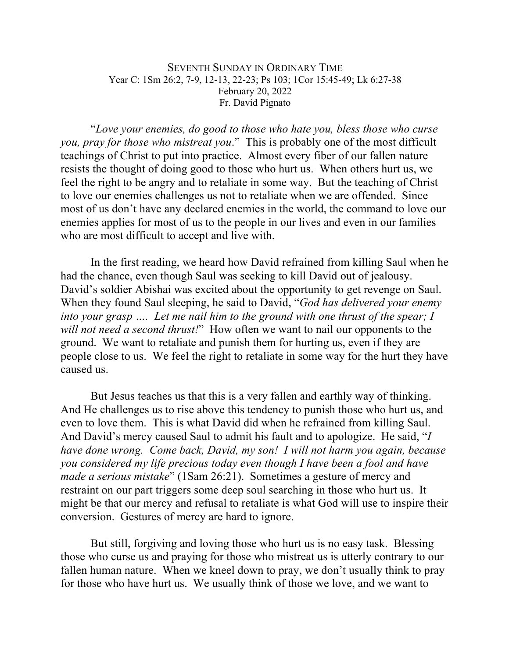## SEVENTH SUNDAY IN ORDINARY TIME Year C: 1Sm 26:2, 7-9, 12-13, 22-23; Ps 103; 1Cor 15:45-49; Lk 6:27-38 February 20, 2022 Fr. David Pignato

"*Love your enemies, do good to those who hate you, bless those who curse you, pray for those who mistreat you*." This is probably one of the most difficult teachings of Christ to put into practice. Almost every fiber of our fallen nature resists the thought of doing good to those who hurt us. When others hurt us, we feel the right to be angry and to retaliate in some way. But the teaching of Christ to love our enemies challenges us not to retaliate when we are offended. Since most of us don't have any declared enemies in the world, the command to love our enemies applies for most of us to the people in our lives and even in our families who are most difficult to accept and live with.

In the first reading, we heard how David refrained from killing Saul when he had the chance, even though Saul was seeking to kill David out of jealousy. David's soldier Abishai was excited about the opportunity to get revenge on Saul. When they found Saul sleeping, he said to David, "*God has delivered your enemy into your grasp …. Let me nail him to the ground with one thrust of the spear; I will not need a second thrust!*" How often we want to nail our opponents to the ground. We want to retaliate and punish them for hurting us, even if they are people close to us. We feel the right to retaliate in some way for the hurt they have caused us.

But Jesus teaches us that this is a very fallen and earthly way of thinking. And He challenges us to rise above this tendency to punish those who hurt us, and even to love them. This is what David did when he refrained from killing Saul. And David's mercy caused Saul to admit his fault and to apologize. He said, "*I have done wrong. Come back, David, my son! I will not harm you again, because you considered my life precious today even though I have been a fool and have made a serious mistake*" (1Sam 26:21). Sometimes a gesture of mercy and restraint on our part triggers some deep soul searching in those who hurt us. It might be that our mercy and refusal to retaliate is what God will use to inspire their conversion. Gestures of mercy are hard to ignore.

But still, forgiving and loving those who hurt us is no easy task. Blessing those who curse us and praying for those who mistreat us is utterly contrary to our fallen human nature. When we kneel down to pray, we don't usually think to pray for those who have hurt us. We usually think of those we love, and we want to